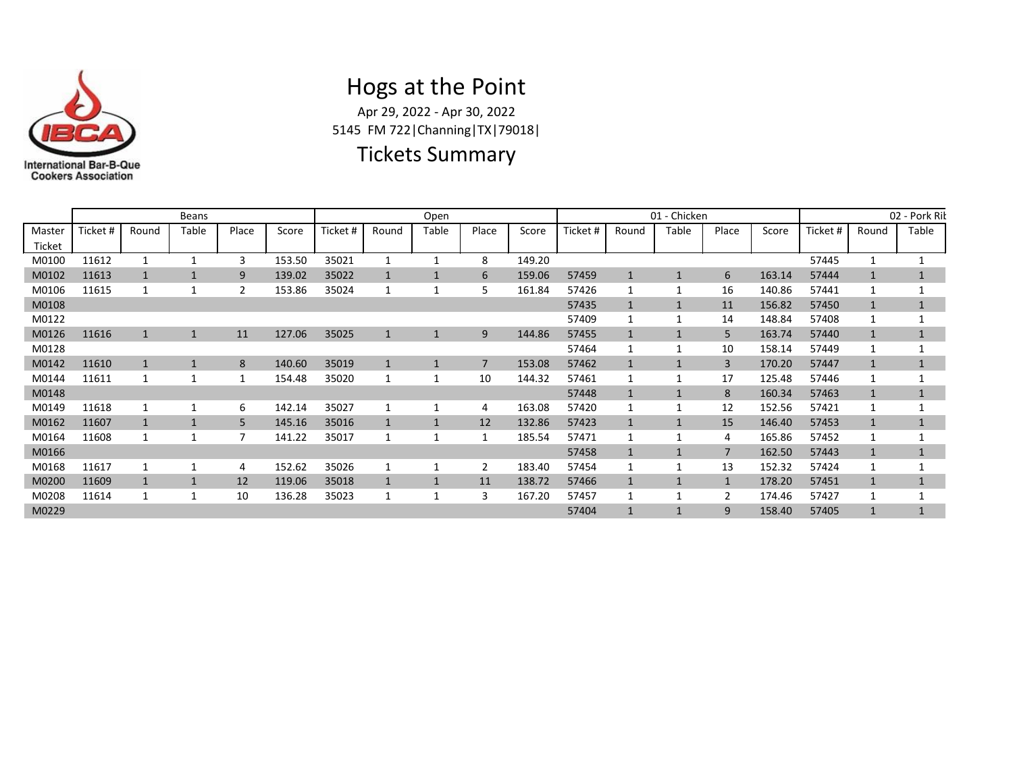

## Hogs at the Point

Apr 29, 2022 - Apr 30, 2022 5145 FM 722|Channing|TX|79018|

## Tickets Summary

|        | Beans   |              |       |       |        | Open     |              |       |                |        | 01 - Chicken |       |       |                | 02 - Pork Rik |          |              |              |
|--------|---------|--------------|-------|-------|--------|----------|--------------|-------|----------------|--------|--------------|-------|-------|----------------|---------------|----------|--------------|--------------|
|        |         |              |       |       |        |          |              |       |                |        |              |       |       |                |               |          |              |              |
| Master | Ticket# | Round        | Table | Place | Score  | Ticket # | Round        | Table | Place          | Score  | Ticket #     | Round | Table | Place          | Score         | Ticket # | Round        | Table        |
| Ticket |         |              |       |       |        |          |              |       |                |        |              |       |       |                |               |          |              |              |
| M0100  | 11612   | $\mathbf{1}$ |       | 3     | 153.50 | 35021    | 1            |       | 8              | 149.20 |              |       |       |                |               | 57445    |              |              |
| M0102  | 11613   |              |       | 9     | 139.02 | 35022    |              |       | 6              | 159.06 | 57459        |       |       | 6              | 163.14        | 57444    |              |              |
| M0106  | 11615   | 1            |       | 2     | 153.86 | 35024    | 1            |       | 5              | 161.84 | 57426        | 1     |       | 16             | 140.86        | 57441    | $\mathbf{1}$ |              |
| M0108  |         |              |       |       |        |          |              |       |                |        | 57435        |       |       | 11             | 156.82        | 57450    | $\mathbf{1}$ | $\mathbf{1}$ |
| M0122  |         |              |       |       |        |          |              |       |                |        | 57409        |       |       | 14             | 148.84        | 57408    | 1            |              |
| M0126  | 11616   | 1            |       | 11    | 127.06 | 35025    |              |       | 9              | 144.86 | 57455        |       |       | 5              | 163.74        | 57440    | $\mathbf{1}$ |              |
| M0128  |         |              |       |       |        |          |              |       |                |        | 57464        |       |       | 10             | 158.14        | 57449    | 1            |              |
| M0142  | 11610   | 1            |       | 8     | 140.60 | 35019    | $\mathbf{1}$ |       | $\overline{7}$ | 153.08 | 57462        |       |       | 3              | 170.20        | 57447    | $\mathbf{1}$ |              |
| M0144  | 11611   | 1            |       |       | 154.48 | 35020    | 1            |       | 10             | 144.32 | 57461        |       |       | 17             | 125.48        | 57446    | 1            |              |
| M0148  |         |              |       |       |        |          |              |       |                |        | 57448        |       |       | 8              | 160.34        | 57463    | $\mathbf{1}$ |              |
| M0149  | 11618   | 1            |       | 6     | 142.14 | 35027    | 1            |       | 4              | 163.08 | 57420        | 1     |       | 12             | 152.56        | 57421    | 1            |              |
| M0162  | 11607   | $\mathbf{1}$ |       | 5     | 145.16 | 35016    | 1            |       | 12             | 132.86 | 57423        |       |       | 15             | 146.40        | 57453    | $\mathbf{1}$ |              |
| M0164  | 11608   | 1            |       | 7     | 141.22 | 35017    | 1            |       |                | 185.54 | 57471        |       |       | 4              | 165.86        | 57452    | 1            |              |
| M0166  |         |              |       |       |        |          |              |       |                |        | 57458        |       |       | $\overline{7}$ | 162.50        | 57443    | $\mathbf{1}$ |              |
| M0168  | 11617   | 1            |       | 4     | 152.62 | 35026    | 1            |       | 2              | 183.40 | 57454        |       |       | 13             | 152.32        | 57424    | 1            |              |
| M0200  | 11609   | $\mathbf{1}$ |       | 12    | 119.06 | 35018    | $\mathbf{1}$ |       | 11             | 138.72 | 57466        |       |       | $\mathbf{1}$   | 178.20        | 57451    | $\mathbf{1}$ |              |
| M0208  | 11614   | 1            |       | 10    | 136.28 | 35023    |              |       | 3              | 167.20 | 57457        |       |       | $\overline{2}$ | 174.46        | 57427    | 1            |              |
| M0229  |         |              |       |       |        |          |              |       |                |        | 57404        |       |       | 9              | 158.40        | 57405    |              |              |